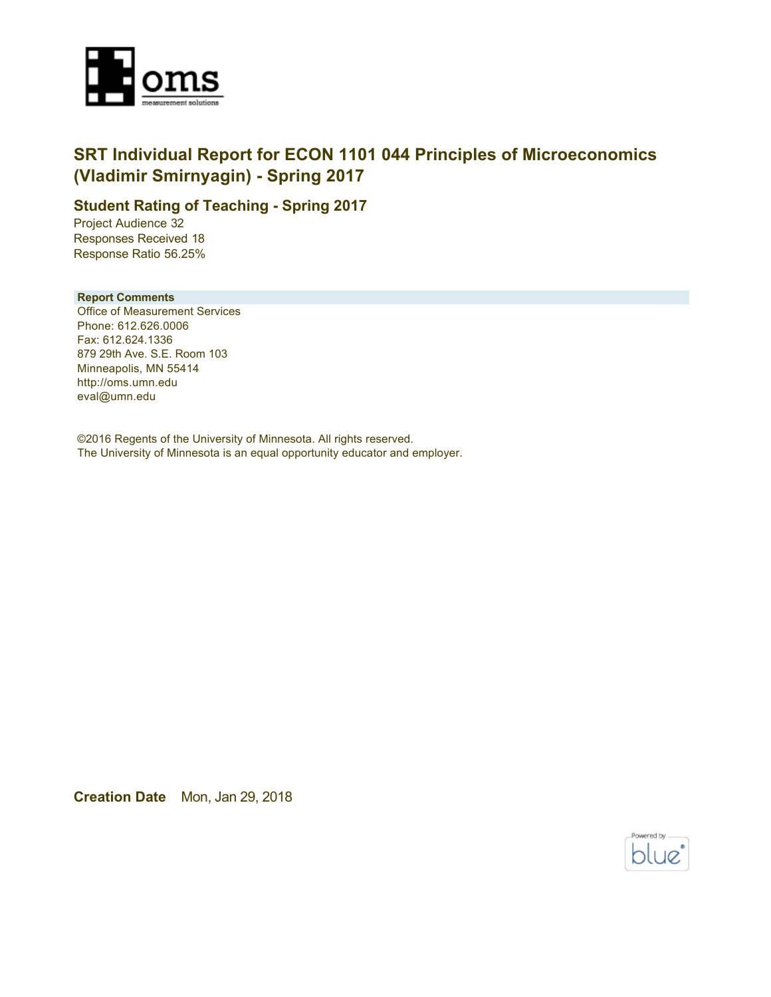

## **SRT Individual Report for ECON 1101 044 Principles of Microeconomics (Vladimir Smirnyagin) - Spring 2017**

## **Student Rating of Teaching - Spring 2017**

Project Audience 32 Responses Received 18 Response Ratio 56.25%

#### **Report Comments**

Office of Measurement Services Phone: 612.626.0006 Fax: 612.624.1336 879 29th Ave. S.E. Room 103 Minneapolis, MN 55414 http://oms.umn.edu eval@umn.edu

©2016 Regents of the University of Minnesota. All rights reserved. The University of Minnesota is an equal opportunity educator and employer.

**Creation Date** Mon, Jan 29, 2018

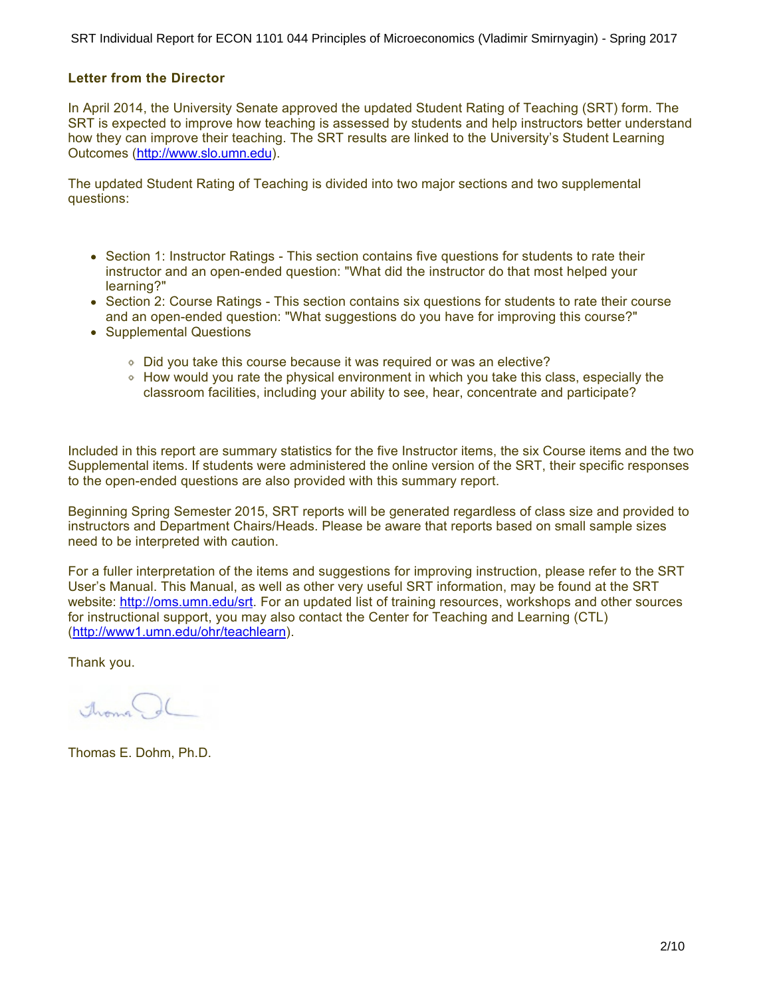SRT Individual Report for ECON 1101 044 Principles of Microeconomics (Vladimir Smirnyagin) - Spring 2017

#### **Letter from the Director**

In April 2014, the University Senate approved the updated Student Rating of Teaching (SRT) form. The SRT is expected to improve how teaching is assessed by students and help instructors better understand how they can improve their teaching. The SRT results are linked to the University's Student Learning Outcomes (<http://www.slo.umn.edu>).

The updated Student Rating of Teaching is divided into two major sections and two supplemental questions:

- Section 1: Instructor Ratings This section contains five questions for students to rate their instructor and an open-ended question: "What did the instructor do that most helped your learning?"
- Section 2: Course Ratings This section contains six questions for students to rate their course and an open-ended question: "What suggestions do you have for improving this course?"
- Supplemental Questions
	- Did you take this course because it was required or was an elective?
	- How would you rate the physical environment in which you take this class, especially the classroom facilities, including your ability to see, hear, concentrate and participate?

Included in this report are summary statistics for the five Instructor items, the six Course items and the two Supplemental items. If students were administered the online version of the SRT, their specific responses to the open-ended questions are also provided with this summary report.

Beginning Spring Semester 2015, SRT reports will be generated regardless of class size and provided to instructors and Department Chairs/Heads. Please be aware that reports based on small sample sizes need to be interpreted with caution.

For a fuller interpretation of the items and suggestions for improving instruction, please refer to the SRT User's Manual. This Manual, as well as other very useful SRT information, may be found at the SRT website:<http://oms.umn.edu/srt>. For an updated list of training resources, workshops and other sources for instructional support, you may also contact the Center for Teaching and Learning (CTL) (<http://www1.umn.edu/ohr/teachlearn>).

Thank you.

Aroma

Thomas E. Dohm, Ph.D.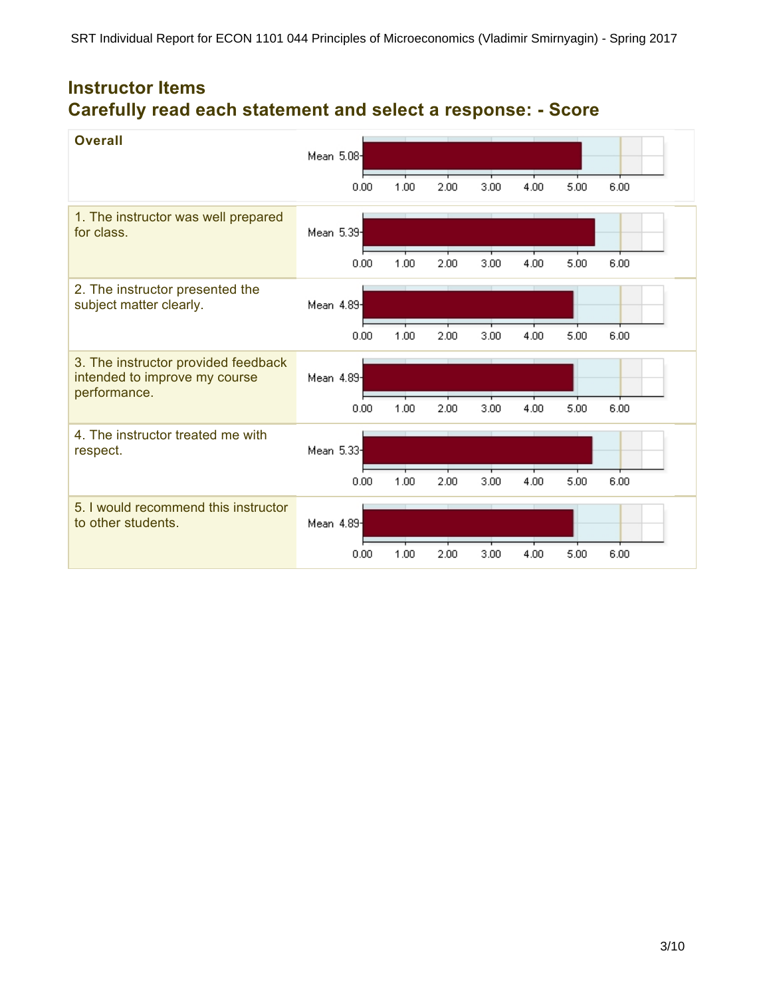# **Instructor Items Carefully read each statement and select a response: - Score**

| <b>Overall</b>                                                                       | Mean 5.08- |      |      |      |      |      |      |
|--------------------------------------------------------------------------------------|------------|------|------|------|------|------|------|
|                                                                                      | 0.00       | 1.00 | 2.00 | 3.00 | 4.00 | 5.00 | 6.00 |
| 1. The instructor was well prepared<br>for class.                                    | Mean 5.39  |      |      |      |      |      |      |
|                                                                                      | 0.00       | 1.00 | 2.00 | 3.00 | 4.00 | 5.00 | 6.00 |
| 2. The instructor presented the<br>subject matter clearly.                           | Mean 4.89  |      |      |      |      |      |      |
|                                                                                      | 0.00       | 1.00 | 2.00 | 3.00 | 4.00 | 5.00 | 6.00 |
| 3. The instructor provided feedback<br>intended to improve my course<br>performance. | Mean 4.89  |      |      |      |      |      |      |
|                                                                                      | 0.00       | 1.00 | 2.00 | 3.00 | 4.00 | 5.00 | 6.00 |
| 4. The instructor treated me with<br>respect.                                        | Mean 5.33  |      |      |      |      |      |      |
|                                                                                      | 0.00       | 1.00 | 2.00 | 3.00 | 4.00 | 5.00 | 6.00 |
| 5. I would recommend this instructor<br>to other students.                           | Mean 4.89  |      |      |      |      |      |      |
|                                                                                      | 0.00       | 1.00 | 2.00 | 3.00 | 4.00 | 5.00 | 6.00 |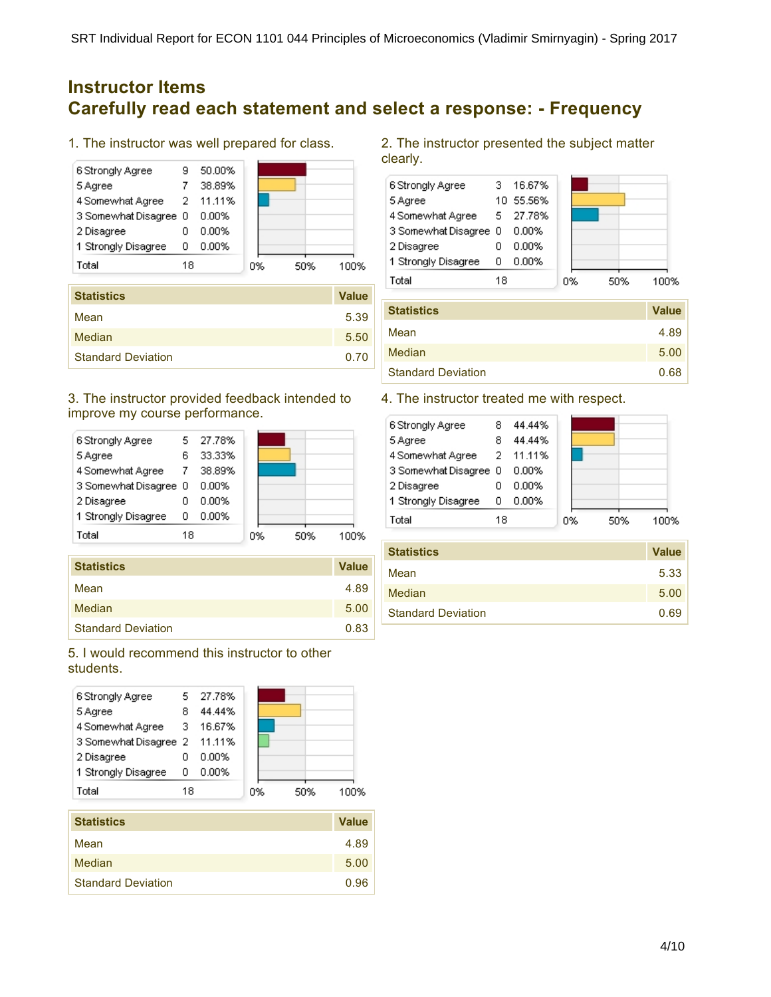## **Instructor Items Carefully read each statement and select a response: - Frequency**

1. The instructor was well prepared for class.



| <b>Statistics</b>         | <b>Value</b> |
|---------------------------|--------------|
| Mean                      | 5.39         |
| Median                    | 5.50         |
| <b>Standard Deviation</b> | 0.70         |

## 3. The instructor provided feedback intended to improve my course performance.



| <b>Statistics</b>         | <b>Value</b> |
|---------------------------|--------------|
| Mean                      | 4.89         |
| Median                    | 5.00         |
| <b>Standard Deviation</b> | 0.83         |

## 5. I would recommend this instructor to other students.



| Mean                      | 4.89 |
|---------------------------|------|
| Median                    | 5.00 |
| <b>Standard Deviation</b> | 0.96 |

2. The instructor presented the subject matter clearly.



| <b>Statistics</b>         | <b>Value</b> |
|---------------------------|--------------|
| Mean                      | 4.89         |
| Median                    | 5.00         |
| <b>Standard Deviation</b> | 0.68         |

## 4. The instructor treated me with respect.

|                       | 44.44% |                           |    |      |
|-----------------------|--------|---------------------------|----|------|
| 8                     | 44.44% |                           |    |      |
|                       |        |                           |    |      |
| 3 Somewhat Disagree 0 | 0.00%  |                           |    |      |
|                       | 0.00%  |                           |    |      |
| 0                     | 0.00%  |                           |    |      |
| 18                    |        |                           |    | 100% |
|                       |        | 4 Somewhat Agree 2 11.11% | 0% | 50%  |

| <b>Statistics</b>         | <b>Value</b> |
|---------------------------|--------------|
| Mean                      | 5.33         |
| <b>Median</b>             | 5.00         |
| <b>Standard Deviation</b> | 0.69         |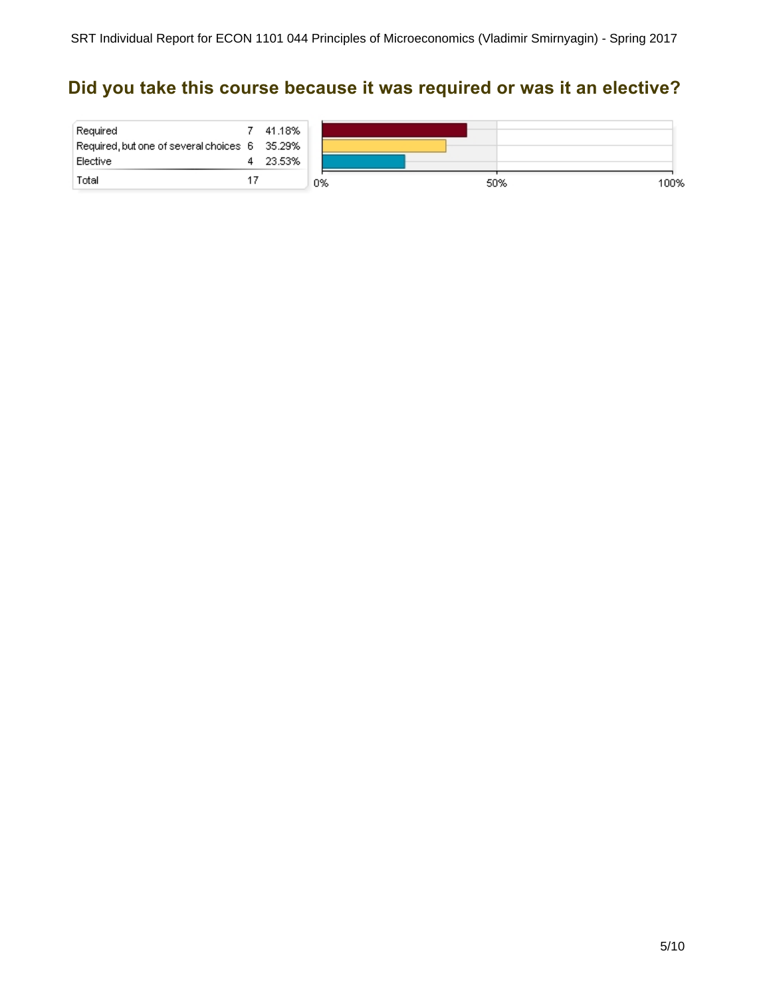# **Did you take this course because it was required or was it an elective?**

| Required                                      | 41.18% |    |             |
|-----------------------------------------------|--------|----|-------------|
| Required, but one of several choices 6 35.29% |        |    |             |
| Elective                                      | 23.53% |    |             |
| Total                                         |        | 0% | 50%<br>100% |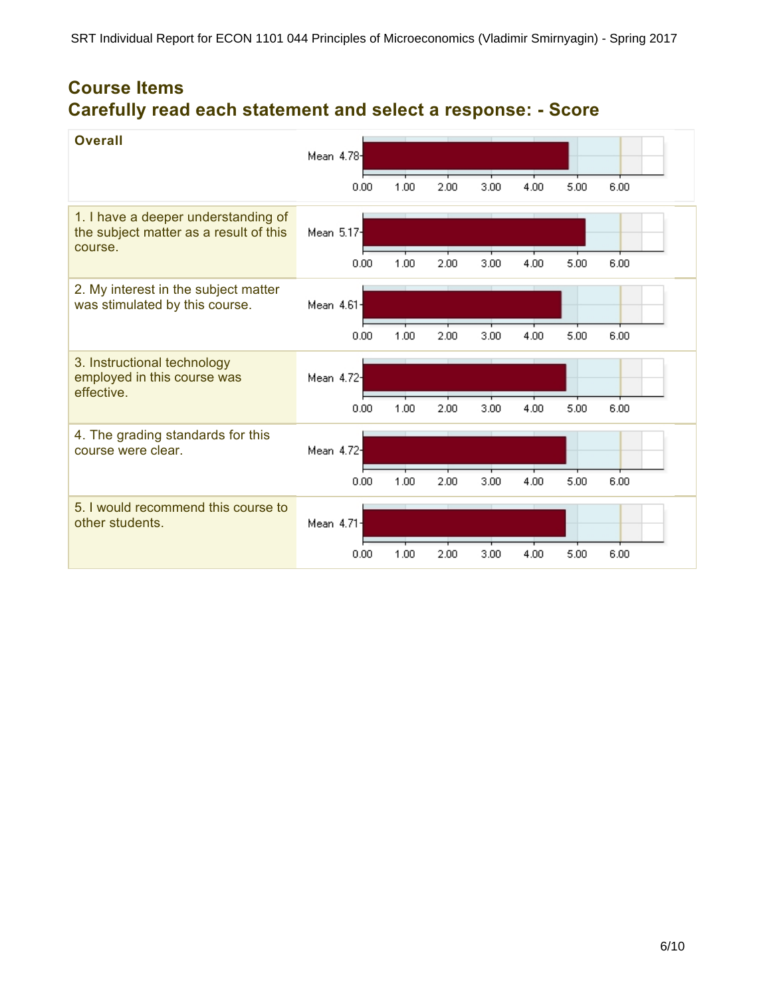# **Course Items Carefully read each statement and select a response: - Score**

| <b>Overall</b>                                                                           | Mean 4.784              |      |      |      |      |      |      |
|------------------------------------------------------------------------------------------|-------------------------|------|------|------|------|------|------|
|                                                                                          | 0.00                    | 1.00 | 2.00 | 3.00 | 4.00 | 5.00 | 6.00 |
| 1. I have a deeper understanding of<br>the subject matter as a result of this<br>course. | Mean 5.17 <sup>-1</sup> |      |      |      |      |      |      |
|                                                                                          | 0.00                    | 1.00 | 2.00 | 3.00 | 4.00 | 5.00 | 6.00 |
| 2. My interest in the subject matter<br>was stimulated by this course.                   | Mean 4.61-              |      |      |      |      |      |      |
|                                                                                          | 0.00                    | 1.00 | 2.00 | 3.00 | 4.00 | 5.00 | 6.00 |
| 3. Instructional technology<br>employed in this course was<br>effective.                 | Mean 4.72-              |      |      |      |      |      |      |
|                                                                                          | 0.00                    | 1.00 | 2.00 | 3.00 | 4.00 | 5.00 | 6.00 |
| 4. The grading standards for this<br>course were clear.                                  | Mean 4.72 <sup>-1</sup> |      |      |      |      |      |      |
|                                                                                          | 0.00                    | 1.00 | 2.00 | 3.00 | 4.00 | 5.00 | 6.00 |
| 5. I would recommend this course to<br>other students.                                   | Mean 4.71-              |      |      |      |      |      |      |
|                                                                                          | 0.00                    | 1.00 | 2.00 | 3.00 | 4.00 | 5.00 | 6.00 |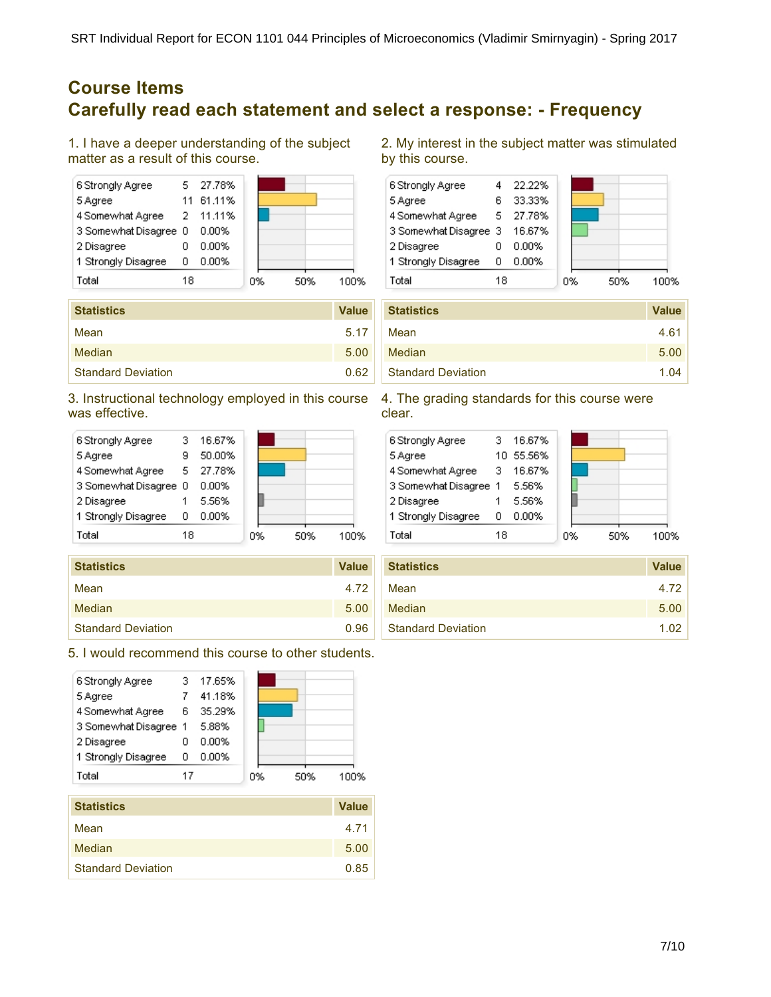## **Course Items Carefully read each statement and select a response: - Frequency**

1. I have a deeper understanding of the subject matter as a result of this course.



| <b>Statistics</b>         | <b>Value</b> |
|---------------------------|--------------|
| Mean                      | 5.17         |
| Median                    | 5.00         |
| <b>Standard Deviation</b> | 0.62         |

## 3. Instructional technology employed in this course was effective.



| <b>Statistics</b>         | <b>Value</b> |
|---------------------------|--------------|
| Mean                      | 4.72         |
| Median                    | 5.00         |
| <b>Standard Deviation</b> | 0.96         |

## 5. I would recommend this course to other students.



| <b>Statistics</b>         | <b>Value</b> |
|---------------------------|--------------|
| Mean                      | 4.71         |
| Median                    | 5.00         |
| <b>Standard Deviation</b> | 0.85         |

2. My interest in the subject matter was stimulated by this course.



| <b>Statistics</b>         | <b>Value</b> |
|---------------------------|--------------|
| Mean                      | 4.61         |
| Median                    | 5.00         |
| <b>Standard Deviation</b> | 1.04         |

#### 4. The grading standards for this course were clear.

| 6 Strongly Agree      |     | 16.67%    |    |     |      |
|-----------------------|-----|-----------|----|-----|------|
| 5 Agree               |     | 10 55.56% |    |     |      |
| 4 Somewhat Agree      | - 3 | 16.67%    |    |     |      |
| 3 Somewhat Disagree 1 |     | - 5.56%   |    |     |      |
| 2 Disagree            |     | 5.56%     |    |     |      |
| 1 Strongly Disagree   | ο   | 0.00%     |    |     |      |
| Total                 | 18  |           | 0% | 50% | 1በበ% |

| <b>Statistics</b>         | <b>Value</b> |
|---------------------------|--------------|
| Mean                      | 4.72         |
| Median                    | 5.00         |
| <b>Standard Deviation</b> | 1.02         |

#### 7/10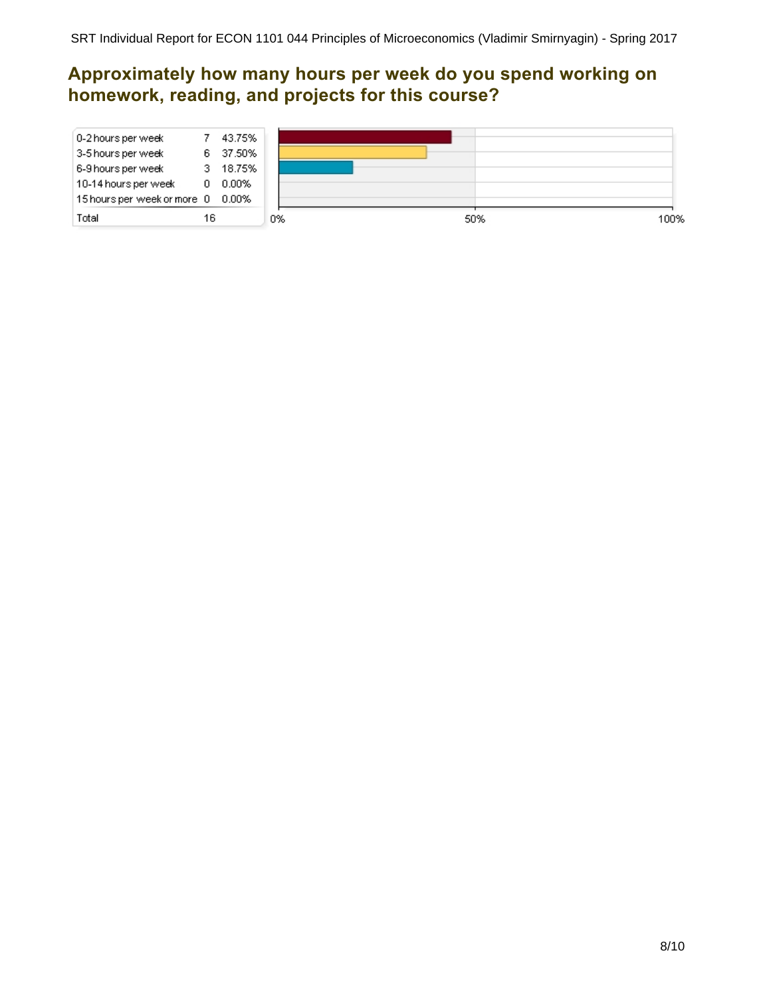# **Approximately how many hours per week do you spend working on homework, reading, and projects for this course?**

| з. | 18.75% |                                                         |  |
|----|--------|---------------------------------------------------------|--|
| 6. | 37.50% |                                                         |  |
|    | 0      | 43.75%<br>$0.00\%$<br>15 hours per week or more 0 0.00% |  |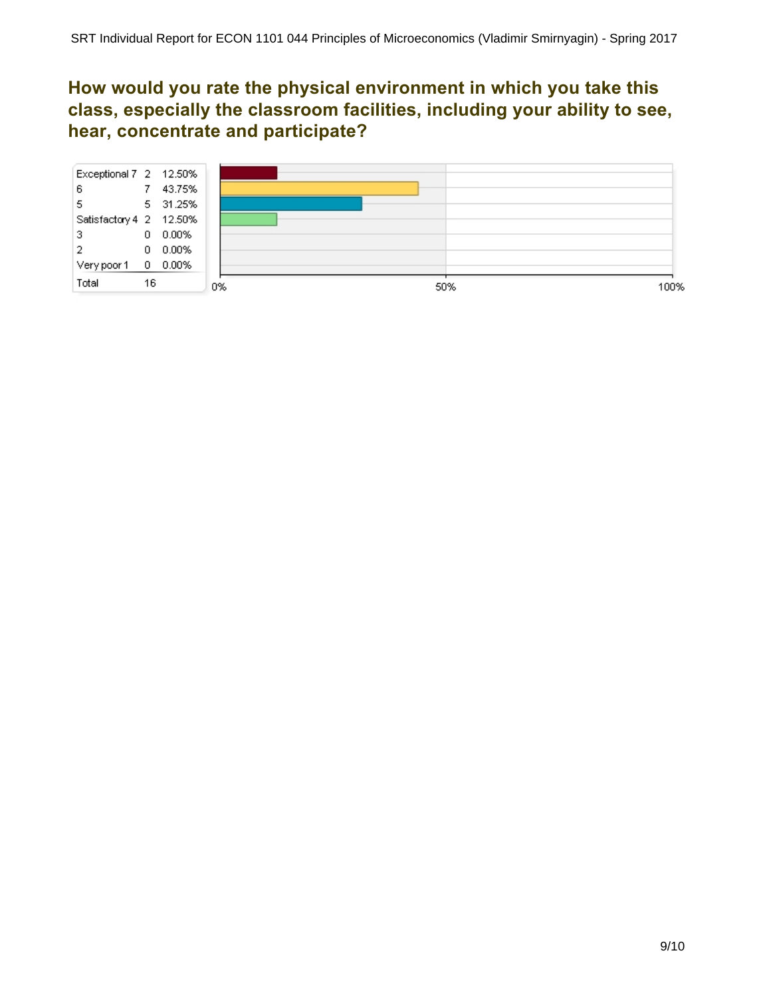## **How would you rate the physical environment in which you take this class, especially the classroom facilities, including your ability to see, hear, concentrate and participate?**